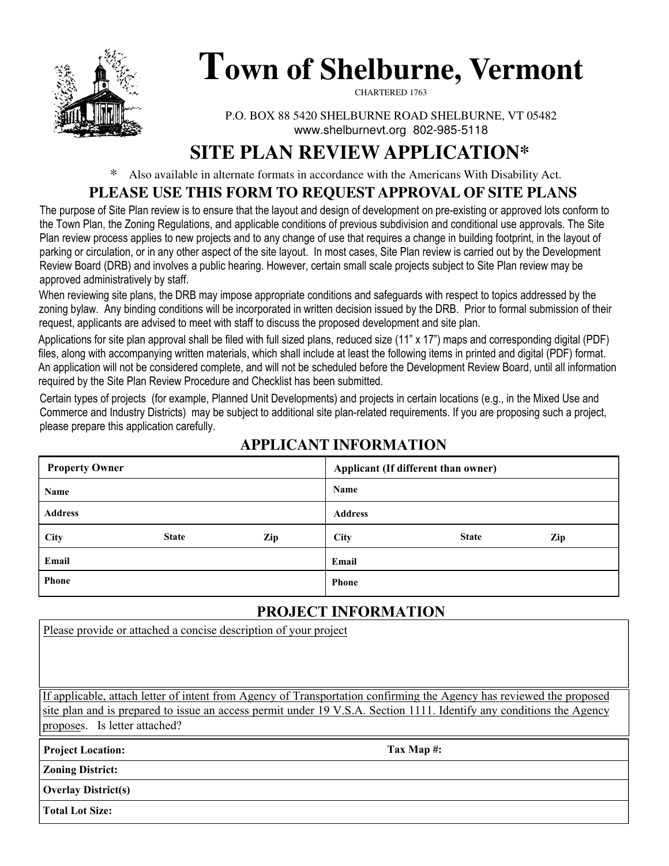

# **Town of Shelburne, Vermont**

CHARTERED 1763

P.O. BOX 88 5420 SHELBURNE ROAD SHELBURNE, VT 05482 www.shelburnevt.org 802-985-5118

# **SITE PLAN REVIEW APPLICATION\***

\* Also available in alternate formats in accordance with the Americans With Disability Act.

### **PLEASE USE THIS FORM TO REQUEST APPROVAL OF SITE PLANS**

The purpose of Site Plan review is to ensure that the layout and design of development on pre-existing or approved lots conform to the Town Plan, the Zoning Regulations, and applicable conditions of previous subdivision and conditional use approvals. The Site Plan review process applies to new projects and to any change of use that requires a change in building footprint, in the layout of parking or circulation, or in any other aspect of the site layout. In most cases, Site Plan review is carried out by the Development Review Board (DRB) and involves a public hearing. However, certain small scale projects subject to Site Plan review may be approved administratively by staff.

When reviewing site plans, the DRB may impose appropriate conditions and safeguards with respect to topics addressed by the zoning bylaw. Any binding conditions will be incorporated in written decision issued by the DRB. Prior to formal submission of their request, applicants are advised to meet with staff to discuss the proposed development and site plan.

Applications for site plan approval shall be filed with full sized plans, reduced size (11" x 17") maps and corresponding digital (PDF) files, along with accompanying written materials, which shall include at least the following items in printed and digital (PDF) format. An application will not be considered complete, and will not be scheduled before the Development Review Board, until all information required by the Site Plan Review Procedure and Checklist has been submitted.

Certain types of projects (for example, Planned Unit Developments) and projects in certain locations (e.g., in the Mixed Use and Commerce and Industry Districts) may be subject to additional site plan-related requirements. If you are proposing such a project, please prepare this application carefully.

| <b>Property Owner</b> |              |     | Applicant (If different than owner) |              |     |
|-----------------------|--------------|-----|-------------------------------------|--------------|-----|
| Name                  |              |     | Name                                |              |     |
| <b>Address</b>        |              |     | <b>Address</b>                      |              |     |
| City                  | <b>State</b> | Zip | City                                | <b>State</b> | Zip |
| Email                 |              |     | Email                               |              |     |
| <b>Phone</b>          |              |     | <b>Phone</b>                        |              |     |

## **APPLICANT INFORMATION**

## **PROJECT INFORMATION**

Please provide or attached a concise description of your project

If applicable, attach letter of intent from Agency of Transportation confirming the Agency has reviewed the proposed site plan and is prepared to issue an access permit under 19 V.S.A. Section 1111. Identify any conditions the Agency proposes. Is letter attached?

**Project Location: Tax Map #:**

**Zoning District:** 

**Overlay District(s)**

**Total Lot Size:**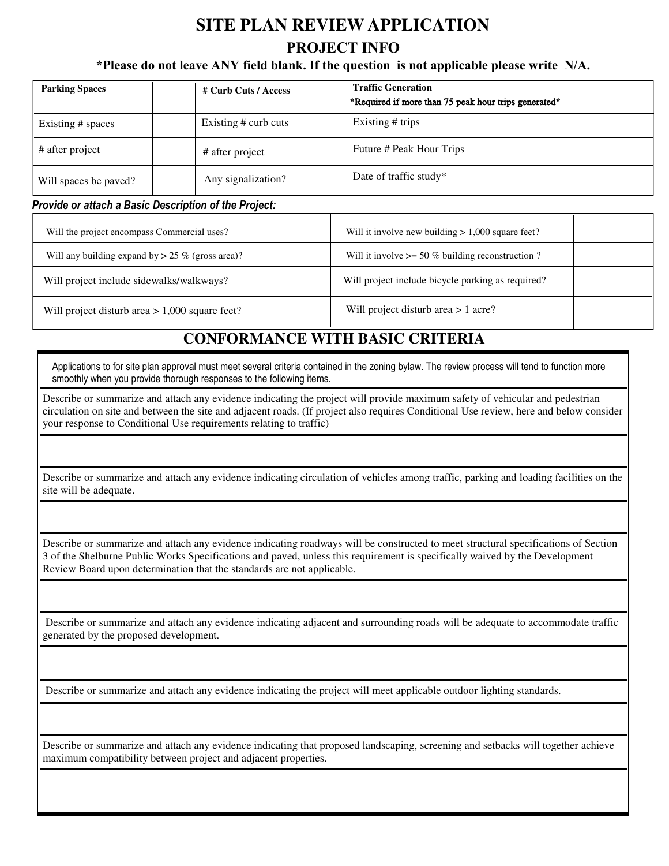# **SITE PLAN REVIEW APPLICATION PROJECT INFO**

#### **\*Please do not leave ANY field blank. If the question is not applicable please write N/A.**

| <b>Parking Spaces</b> | # Curb Cuts / Access | <b>Traffic Generation</b><br>*Required if more than 75 peak hour trips generated* |  |
|-----------------------|----------------------|-----------------------------------------------------------------------------------|--|
| Existing # spaces     | Existing # curb cuts | Existing # trips                                                                  |  |
| # after project       | # after project      | Future # Peak Hour Trips                                                          |  |
| Will spaces be paved? | Any signalization?   | Date of traffic study*                                                            |  |

#### Provide or attach a Basic Description of the Project:

| Will the project encompass Commercial uses?         | Will it involve new building $> 1,000$ square feet?  |
|-----------------------------------------------------|------------------------------------------------------|
| Will any building expand by $> 25 \%$ (gross area)? | Will it involve $\ge$ 50 % building reconstruction ? |
| Will project include sidewalks/walkways?            | Will project include bicycle parking as required?    |
| Will project disturb area $> 1,000$ square feet?    | Will project disturb area $> 1$ acre?                |

#### **CONFORMANCE WITH BASIC CRITERIA**

Applications to for site plan approval must meet several criteria contained in the zoning bylaw. The review process will tend to function more smoothly when you provide thorough responses to the following items.

Describe or summarize and attach any evidence indicating the project will provide maximum safety of vehicular and pedestrian circulation on site and between the site and adjacent roads. (If project also requires Conditional Use review, here and below consider your response to Conditional Use requirements relating to traffic)

Describe or summarize and attach any evidence indicating circulation of vehicles among traffic, parking and loading facilities on the site will be adequate.

Describe or summarize and attach any evidence indicating roadways will be constructed to meet structural specifications of Section<br>3 of the Shelburne Public Works Specifications and paved, unless this requirement is specif 3 of the Shelburne Public Works Specifications and paved, unless this requirement is specifically waived by the Development Review Board upon determination that the standards are not applicable.

 Describe or summarize and attach any evidence indicating adjacent and surrounding roads will be adequate to accommodate traffic generated by the proposed development.

Describe or summarize and attach any evidence indicating the project will meet applicable outdoor lighting standards.

Describe or summarize and attach any evidence indicating that proposed landscaping, screening and setbacks will together achieve maximum compatibility between project and adjacent properties.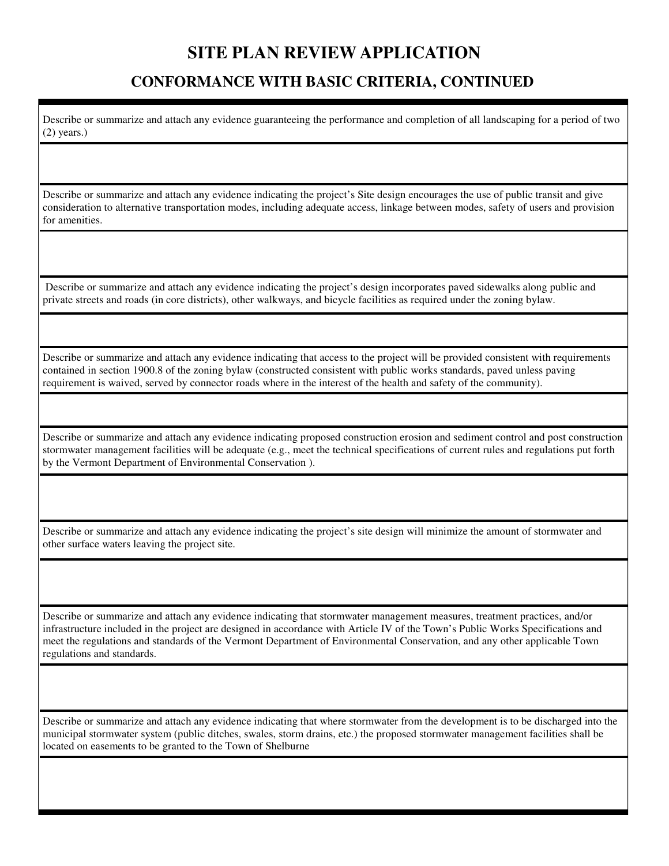#### **CONFORMANCE WITH BASIC CRITERIA, CONTINUED**

Describe or summarize and attach any evidence guaranteeing the performance and completion of all landscaping for a period of two (2) years.)

Describe or summarize and attach any evidence indicating the project's Site design encourages the use of public transit and give consideration to alternative transportation modes, including adequate access, linkage between modes, safety of users and provision for amenities.

 Describe or summarize and attach any evidence indicating the project's design incorporates paved sidewalks along public and private streets and roads (in core districts), other walkways, and bicycle facilities as required under the zoning bylaw.

Describe or summarize and attach any evidence indicating that access to the project will be provided consistent with requirements contained in section 1900.8 of the zoning bylaw (constructed consistent with public works standards, paved unless paving requirement is waived, served by connector roads where in the interest of the health and safety of the community).

Describe or summarize and attach any evidence indicating proposed construction erosion and sediment control and post construction stormwater management facilities will be adequate (e.g., meet the technical specifications of current rules and regulations put forth by the Vermont Department of Environmental Conservation ).

Describe or summarize and attach any evidence indicating the project's site design will minimize the amount of stormwater and other surface waters leaving the project site.

Describe or summarize and attach any evidence indicating that stormwater management measures, treatment practices, and/or infrastructure included in the project are designed in accordance with Article IV of the Town's Public Works Specifications and meet the regulations and standards of the Vermont Department of Environmental Conservation, and any other applicable Town regulations and standards.

Describe or summarize and attach any evidence indicating that where stormwater from the development is to be discharged into the municipal stormwater system (public ditches, swales, storm drains, etc.) the proposed stormwater management facilities shall be located on easements to be granted to the Town of Shelburne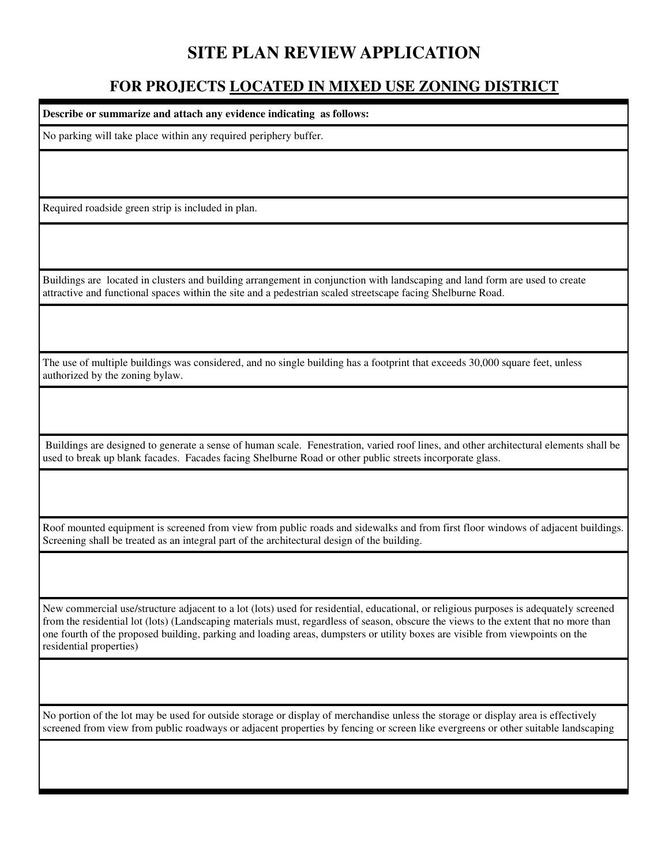#### **FOR PROJECTS LOCATED IN MIXED USE ZONING DISTRICT**

**Describe or summarize and attach any evidence indicating as follows:**  No parking will take place within any required periphery buffer. Required roadside green strip is included in plan. Buildings are located in clusters and building arrangement in conjunction with landscaping and land form are used to create attractive and functional spaces within the site and a pedestrian scaled streetscape facing Shelburne Road.

The use of multiple buildings was considered, and no single building has a footprint that exceeds 30,000 square feet, unless authorized by the zoning bylaw.

 Buildings are designed to generate a sense of human scale. Fenestration, varied roof lines, and other architectural elements shall be used to break up blank facades. Facades facing Shelburne Road or other public streets incorporate glass.

Roof mounted equipment is screened from view from public roads and sidewalks and from first floor windows of adjacent buildings. Screening shall be treated as an integral part of the architectural design of the building.

New commercial use/structure adjacent to a lot (lots) used for residential, educational, or religious purposes is adequately screened from the residential lot (lots) (Landscaping materials must, regardless of season, obscure the views to the extent that no more than one fourth of the proposed building, parking and loading areas, dumpsters or utility boxes are visible from viewpoints on the residential properties)

No portion of the lot may be used for outside storage or display of merchandise unless the storage or display area is effectively screened from view from public roadways or adjacent properties by fencing or screen like evergreens or other suitable landscaping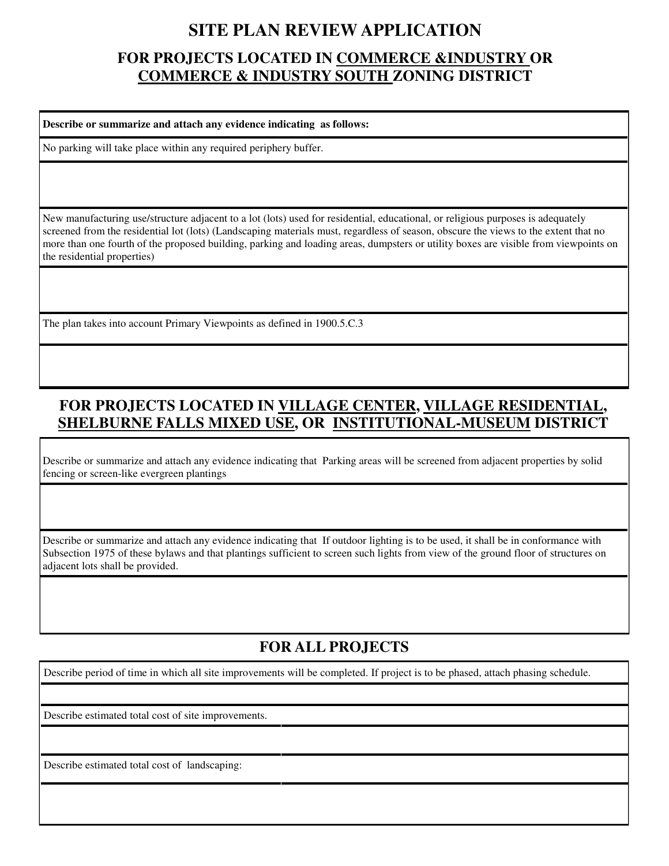### **FOR PROJECTS LOCATED IN COMMERCE &INDUSTRY OR COMMERCE & INDUSTRY SOUTH ZONING DISTRICT**

**Describe or summarize and attach any evidence indicating as follows:** 

No parking will take place within any required periphery buffer.

New manufacturing use/structure adjacent to a lot (lots) used for residential, educational, or religious purposes is adequately screened from the residential lot (lots) (Landscaping materials must, regardless of season, obscure the views to the extent that no more than one fourth of the proposed building, parking and loading areas, dumpsters or utility boxes are visible from viewpoints on the residential properties)

The plan takes into account Primary Viewpoints as defined in 1900.5.C.3

## **FOR PROJECTS LOCATED IN VILLAGE CENTER, VILLAGE RESIDENTIAL, SHELBURNE FALLS MIXED USE, OR INSTITUTIONAL-MUSEUM DISTRICT**

Describe or summarize and attach any evidence indicating that Parking areas will be screened from adjacent properties by solid fencing or screen-like evergreen plantings

Describe or summarize and attach any evidence indicating that If outdoor lighting is to be used, it shall be in conformance with Subsection 1975 of these bylaws and that plantings sufficient to screen such lights from view of the ground floor of structures on adjacent lots shall be provided.

#### **FOR ALL PROJECTS**

Describe period of time in which all site improvements will be completed. If project is to be phased, attach phasing schedule.

Describe estimated total cost of site improvements.

Describe estimated total cost of landscaping: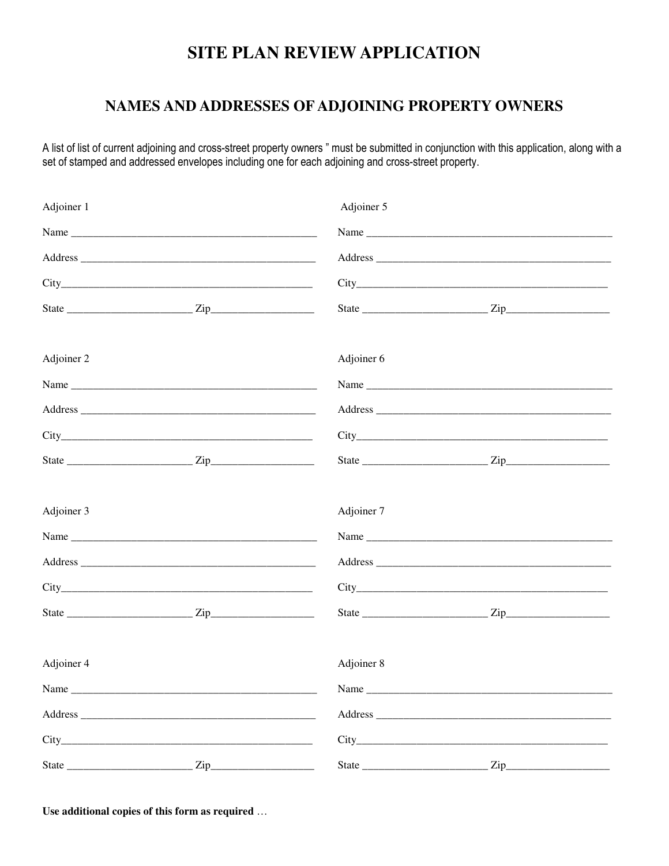#### NAMES AND ADDRESSES OF ADJOINING PROPERTY OWNERS

A list of list of current adjoining and cross-street property owners " must be submitted in conjunction with this application, along with a set of stamped and addressed envelopes including one for each adjoining and cross-street property.

| Adjoiner 1 |     | Adjoiner 5 |                                                                                                                                                                                                                                |  |
|------------|-----|------------|--------------------------------------------------------------------------------------------------------------------------------------------------------------------------------------------------------------------------------|--|
|            |     |            |                                                                                                                                                                                                                                |  |
|            |     |            | Address and the state of the state of the state of the state of the state of the state of the state of the state of the state of the state of the state of the state of the state of the state of the state of the state of th |  |
|            |     |            |                                                                                                                                                                                                                                |  |
|            |     |            |                                                                                                                                                                                                                                |  |
| Adjoiner 2 |     | Adjoiner 6 |                                                                                                                                                                                                                                |  |
|            |     |            |                                                                                                                                                                                                                                |  |
|            |     |            |                                                                                                                                                                                                                                |  |
|            |     |            |                                                                                                                                                                                                                                |  |
|            |     |            |                                                                                                                                                                                                                                |  |
| Adjoiner 3 |     | Adjoiner 7 |                                                                                                                                                                                                                                |  |
|            |     |            | Name                                                                                                                                                                                                                           |  |
|            |     |            |                                                                                                                                                                                                                                |  |
|            |     |            |                                                                                                                                                                                                                                |  |
|            |     |            |                                                                                                                                                                                                                                |  |
| Adjoiner 4 |     | Adjoiner 8 |                                                                                                                                                                                                                                |  |
|            |     |            |                                                                                                                                                                                                                                |  |
|            |     |            |                                                                                                                                                                                                                                |  |
|            |     |            |                                                                                                                                                                                                                                |  |
| State      | Zip | State      | Zip                                                                                                                                                                                                                            |  |

Use additional copies of this form as required ...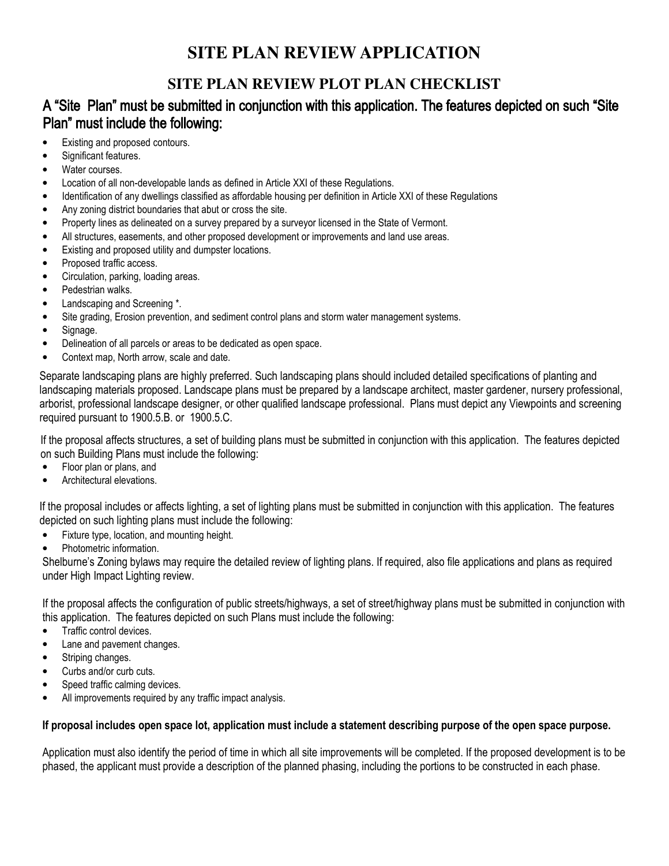## **SITE PLAN REVIEW PLOT PLAN CHECKLIST**

#### A "Site Plan" must be submitted in conjunction with this application. The features depicted on such "Site Plan" must include the following:

- Existing and proposed contours.
- Significant features.
- Water courses.
- Location of all non-developable lands as defined in Article XXI of these Regulations.
- Identification of any dwellings classified as affordable housing per definition in Article XXI of these Regulations
- Any zoning district boundaries that abut or cross the site.
- Property lines as delineated on a survey prepared by a surveyor licensed in the State of Vermont.
- All structures, easements, and other proposed development or improvements and land use areas.
- Existing and proposed utility and dumpster locations.
- Proposed traffic access.
- Circulation, parking, loading areas.
- Pedestrian walks.
- Landscaping and Screening \*.
- Site grading, Erosion prevention, and sediment control plans and storm water management systems.
- Signage.
- Delineation of all parcels or areas to be dedicated as open space.
- Context map, North arrow, scale and date.

Separate landscaping plans are highly preferred. Such landscaping plans should included detailed specifications of planting and landscaping materials proposed. Landscape plans must be prepared by a landscape architect, master gardener, nursery professional, arborist, professional landscape designer, or other qualified landscape professional. Plans must depict any Viewpoints and screening required pursuant to 1900.5.B. or 1900.5.C.

If the proposal affects structures, a set of building plans must be submitted in conjunction with this application. The features depicted on such Building Plans must include the following:

- Floor plan or plans, and
- Architectural elevations.

If the proposal includes or affects lighting, a set of lighting plans must be submitted in conjunction with this application. The features depicted on such lighting plans must include the following:

- Fixture type, location, and mounting height.
- Photometric information.

Shelburne's Zoning bylaws may require the detailed review of lighting plans. If required, also file applications and plans as required under High Impact Lighting review.

If the proposal affects the configuration of public streets/highways, a set of street/highway plans must be submitted in conjunction with this application. The features depicted on such Plans must include the following:

- Traffic control devices.
- Lane and pavement changes.
- Striping changes.
- Curbs and/or curb cuts.
- Speed traffic calming devices.
- All improvements required by any traffic impact analysis.

#### If proposal includes open space lot, application must include a statement describing purpose of the open space purpose.

Application must also identify the period of time in which all site improvements will be completed. If the proposed development is to be phased, the applicant must provide a description of the planned phasing, including the portions to be constructed in each phase.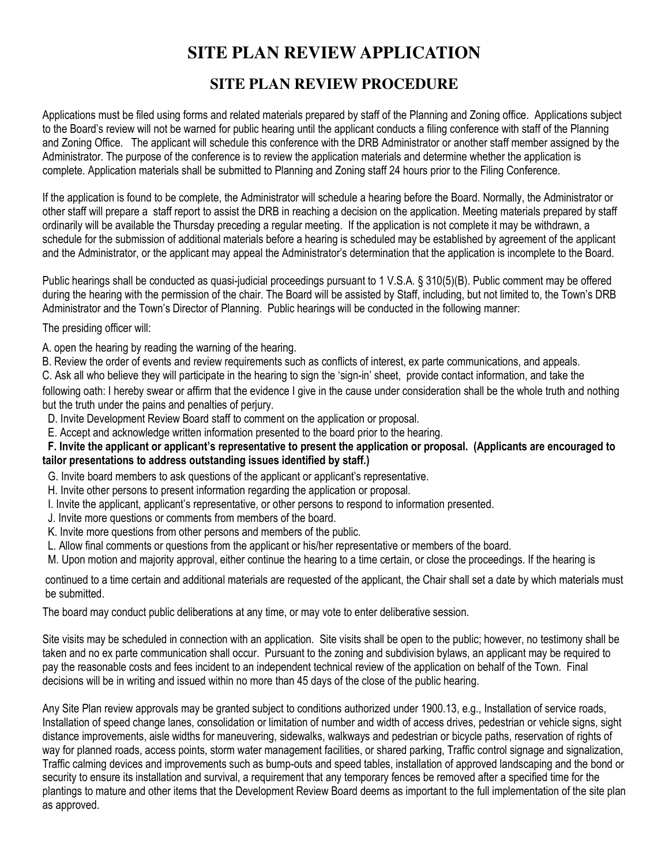#### **SITE PLAN REVIEW PROCEDURE**

Applications must be filed using forms and related materials prepared by staff of the Planning and Zoning office. Applications subject to the Board's review will not be warned for public hearing until the applicant conducts a filing conference with staff of the Planning and Zoning Office. The applicant will schedule this conference with the DRB Administrator or another staff member assigned by the Administrator. The purpose of the conference is to review the application materials and determine whether the application is complete. Application materials shall be submitted to Planning and Zoning staff 24 hours prior to the Filing Conference.

If the application is found to be complete, the Administrator will schedule a hearing before the Board. Normally, the Administrator or other staff will prepare a staff report to assist the DRB in reaching a decision on the application. Meeting materials prepared by staff ordinarily will be available the Thursday preceding a regular meeting. If the application is not complete it may be withdrawn, a schedule for the submission of additional materials before a hearing is scheduled may be established by agreement of the applicant and the Administrator, or the applicant may appeal the Administrator's determination that the application is incomplete to the Board.

Public hearings shall be conducted as quasi-judicial proceedings pursuant to 1 V.S.A. § 310(5)(B). Public comment may be offered during the hearing with the permission of the chair. The Board will be assisted by Staff, including, but not limited to, the Town's DRB Administrator and the Town's Director of Planning. Public hearings will be conducted in the following manner:

The presiding officer will:

- A. open the hearing by reading the warning of the hearing.
- B. Review the order of events and review requirements such as conflicts of interest, ex parte communications, and appeals.

C. Ask all who believe they will participate in the hearing to sign the 'sign-in' sheet, provide contact information, and take the

following oath: I hereby swear or affirm that the evidence I give in the cause under consideration shall be the whole truth and nothing but the truth under the pains and penalties of perjury.

D. Invite Development Review Board staff to comment on the application or proposal.

E. Accept and acknowledge written information presented to the board prior to the hearing.

#### F. Invite the applicant or applicant's representative to present the application or proposal. (Applicants are encouraged to tailor presentations to address outstanding issues identified by staff.)

G. Invite board members to ask questions of the applicant or applicant's representative.

- H. Invite other persons to present information regarding the application or proposal.
- I. Invite the applicant, applicant's representative, or other persons to respond to information presented.
- J. Invite more questions or comments from members of the board.
- K. Invite more questions from other persons and members of the public.
- L. Allow final comments or questions from the applicant or his/her representative or members of the board.
- M. Upon motion and majority approval, either continue the hearing to a time certain, or close the proceedings. If the hearing is

continued to a time certain and additional materials are requested of the applicant, the Chair shall set a date by which materials must be submitted.

The board may conduct public deliberations at any time, or may vote to enter deliberative session.

Site visits may be scheduled in connection with an application. Site visits shall be open to the public; however, no testimony shall be taken and no ex parte communication shall occur. Pursuant to the zoning and subdivision bylaws, an applicant may be required to pay the reasonable costs and fees incident to an independent technical review of the application on behalf of the Town. Final decisions will be in writing and issued within no more than 45 days of the close of the public hearing.

Any Site Plan review approvals may be granted subject to conditions authorized under 1900.13, e.g., Installation of service roads, Installation of speed change lanes, consolidation or limitation of number and width of access drives, pedestrian or vehicle signs, sight distance improvements, aisle widths for maneuvering, sidewalks, walkways and pedestrian or bicycle paths, reservation of rights of way for planned roads, access points, storm water management facilities, or shared parking, Traffic control signage and signalization, Traffic calming devices and improvements such as bump-outs and speed tables, installation of approved landscaping and the bond or security to ensure its installation and survival, a requirement that any temporary fences be removed after a specified time for the plantings to mature and other items that the Development Review Board deems as important to the full implementation of the site plan as approved.